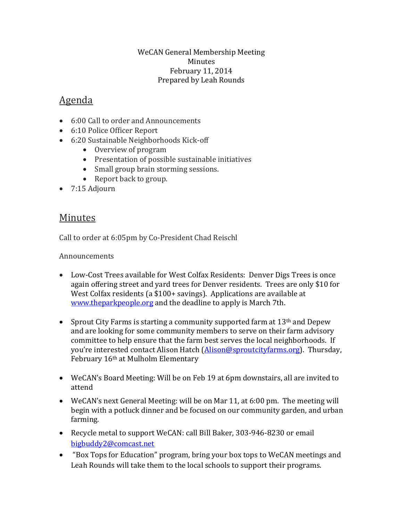## WeCAN General Membership Meeting Minutes February 11, 2014 Prepared by Leah Rounds

## Agenda

- 6:00 Call to order and Announcements
- 6:10 Police Officer Report
- 6:20 Sustainable Neighborhoods Kick-off
	- Overview of program
	- Presentation of possible sustainable initiatives
	- Small group brain storming sessions.
	- Report back to group.
- 7:15 Adjourn

## Minutes

Call to order at 6:05pm by Co-President Chad Reischl

## Announcements

- Low-Cost Trees available for West Colfax Residents: Denver Digs Trees is once again offering street and yard trees for Denver residents. Trees are only \$10 for West Colfax residents (a \$100+ savings). Applications are available at [www.theparkpeople.org](http://www.theparkpeople.org/) and the deadline to apply is March 7th.
- Sprout City Farms is starting a community supported farm at  $13<sup>th</sup>$  and Depew and are looking for some community members to serve on their farm advisory committee to help ensure that the farm best serves the local neighborhoods. If you're interested contact Alison Hatch ([Alison@sproutcityfarms.org\)](mailto:Alison@sproutcityfarms.org). Thursday, February 16th at Mulholm Elementary
- WeCAN's Board Meeting: Will be on Feb 19 at 6pm downstairs, all are invited to attend
- WeCAN's next General Meeting: will be on Mar 11, at 6:00 pm. The meeting will begin with a potluck dinner and be focused on our community garden, and urban farming.
- Recycle metal to support WeCAN: call Bill Baker, 303-946-8230 or email [bigbuddy2@comcast.net](mailto:bigbuddy2@comcast.net)
- "Box Tops for Education" program, bring your box tops to WeCAN meetings and Leah Rounds will take them to the local schools to support their programs.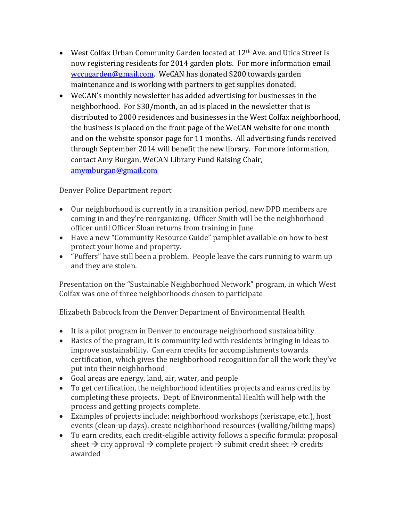- West Colfax Urban Community Garden located at 12<sup>th</sup> Ave. and Utica Street is now registering residents for 2014 garden plots. For more information email [wccugarden@gmail.com.](mailto:wccugarden@gmail.com) WeCAN has donated \$200 towards garden maintenance and is working with partners to get supplies donated.
- WeCAN's monthly newsletter has added advertising for businesses in the neighborhood. For \$30/month, an ad is placed in the newsletter that is distributed to 2000 residences and businesses in the West Colfax neighborhood, the business is placed on the front page of the WeCAN website for one month and on the website sponsor page for 11 months. All advertising funds received through September 2014 will benefit the new library. For more information, contact Amy Burgan, WeCAN Library Fund Raising Chair, [amymburgan@gmail.com](mailto:amymburgan@gmail.com)

Denver Police Department report

- Our neighborhood is currently in a transition period, new DPD members are coming in and they're reorganizing. Officer Smith will be the neighborhood officer until Officer Sloan returns from training in June
- Have a new "Community Resource Guide" pamphlet available on how to best protect your home and property.
- "Puffers" have still been a problem. People leave the cars running to warm up and they are stolen.

Presentation on the "Sustainable Neighborhood Network" program, in which West Colfax was one of three neighborhoods chosen to participate

Elizabeth Babcock from the Denver Department of Environmental Health

- It is a pilot program in Denver to encourage neighborhood sustainability
- Basics of the program, it is community led with residents bringing in ideas to improve sustainability. Can earn credits for accomplishments towards certification, which gives the neighborhood recognition for all the work they've put into their neighborhood
- Goal areas are energy, land, air, water, and people
- To get certification, the neighborhood identifies projects and earns credits by completing these projects. Dept. of Environmental Health will help with the process and getting projects complete.
- Examples of projects include: neighborhood workshops (xeriscape, etc.), host events (clean-up days), create neighborhood resources (walking/biking maps)
- To earn credits, each credit-eligible activity follows a specific formula: proposal sheet  $\rightarrow$  city approval  $\rightarrow$  complete project  $\rightarrow$  submit credit sheet  $\rightarrow$  credits awarded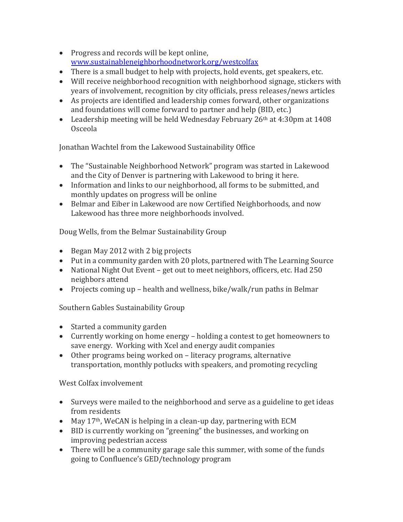- Progress and records will be kept online, [www.sustainableneighborhoodnetwork.org/westcolfax](http://www.sustainableneighborhoodnetwork.org/westcolfax)
- There is a small budget to help with projects, hold events, get speakers, etc.
- Will receive neighborhood recognition with neighborhood signage, stickers with years of involvement, recognition by city officials, press releases/news articles
- As projects are identified and leadership comes forward, other organizations and foundations will come forward to partner and help (BID, etc.)
- Leadership meeting will be held Wednesday February  $26<sup>th</sup>$  at  $4:30<sup>pm</sup>$  at  $1408$ Osceola

Jonathan Wachtel from the Lakewood Sustainability Office

- The "Sustainable Neighborhood Network" program was started in Lakewood and the City of Denver is partnering with Lakewood to bring it here.
- Information and links to our neighborhood, all forms to be submitted, and monthly updates on progress will be online
- Belmar and Eiber in Lakewood are now Certified Neighborhoods, and now Lakewood has three more neighborhoods involved.

Doug Wells, from the Belmar Sustainability Group

- Began May 2012 with 2 big projects
- Put in a community garden with 20 plots, partnered with The Learning Source
- National Night Out Event get out to meet neighbors, officers, etc. Had 250 neighbors attend
- Projects coming up health and wellness, bike/walk/run paths in Belmar

Southern Gables Sustainability Group

- Started a community garden
- Currently working on home energy holding a contest to get homeowners to save energy. Working with Xcel and energy audit companies
- Other programs being worked on literacy programs, alternative transportation, monthly potlucks with speakers, and promoting recycling

West Colfax involvement

- Surveys were mailed to the neighborhood and serve as a guideline to get ideas from residents
- $\bullet$  May 17<sup>th</sup>, WeCAN is helping in a clean-up day, partnering with ECM
- BID is currently working on "greening" the businesses, and working on improving pedestrian access
- There will be a community garage sale this summer, with some of the funds going to Confluence's GED/technology program